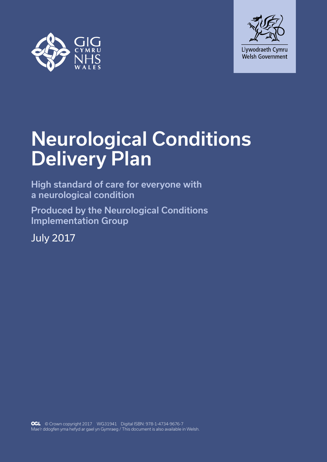



# Neurological Conditions Delivery Plan

High standard of care for everyone with a neurological condition

Produced by the Neurological Conditions Implementation Group

July 2017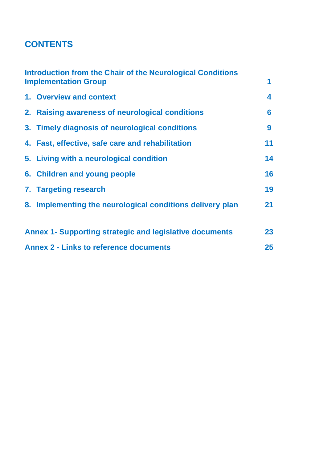# **CONTENTS**

| Introduction from the Chair of the Neurological Conditions<br><b>Implementation Group</b> |                                                           | 1  |
|-------------------------------------------------------------------------------------------|-----------------------------------------------------------|----|
|                                                                                           | 1. Overview and context                                   | 4  |
|                                                                                           | 2. Raising awareness of neurological conditions           | 6  |
|                                                                                           | 3. Timely diagnosis of neurological conditions            | 9  |
|                                                                                           | 4. Fast, effective, safe care and rehabilitation          | 11 |
|                                                                                           | 5. Living with a neurological condition                   | 14 |
|                                                                                           | 6. Children and young people                              | 16 |
|                                                                                           | 7. Targeting research                                     | 19 |
|                                                                                           | 8. Implementing the neurological conditions delivery plan | 21 |
| <b>Annex 1- Supporting strategic and legislative documents</b>                            |                                                           | 23 |
| <b>Annex 2 - Links to reference documents</b>                                             |                                                           | 25 |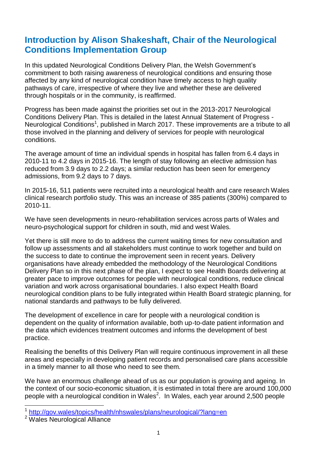### **Introduction by Alison Shakeshaft, Chair of the Neurological Conditions Implementation Group**

In this updated Neurological Conditions Delivery Plan, the Welsh Government's commitment to both raising awareness of neurological conditions and ensuring those affected by any kind of neurological condition have timely access to high quality pathways of care, irrespective of where they live and whether these are delivered through hospitals or in the community, is reaffirmed.

Progress has been made against the priorities set out in the 2013-2017 Neurological Conditions Delivery Plan. This is detailed in the latest Annual Statement of Progress - Neurological Conditions<sup>1</sup>, published in March 2017. These improvements are a tribute to all those involved in the planning and delivery of services for people with neurological conditions.

The average amount of time an individual spends in hospital has fallen from 6.4 days in 2010-11 to 4.2 days in 2015-16. The length of stay following an elective admission has reduced from 3.9 days to 2.2 days; a similar reduction has been seen for emergency admissions, from 9.2 days to 7 days.

In 2015-16, 511 patients were recruited into a neurological health and care research Wales clinical research portfolio study. This was an increase of 385 patients (300%) compared to 2010-11.

We have seen developments in neuro-rehabilitation services across parts of Wales and neuro-psychological support for children in south, mid and west Wales.

Yet there is still more to do to address the current waiting times for new consultation and follow up assessments and all stakeholders must continue to work together and build on the success to date to continue the improvement seen in recent years. Delivery organisations have already embedded the methodology of the Neurological Conditions Delivery Plan so in this next phase of the plan, I expect to see Health Boards delivering at greater pace to improve outcomes for people with neurological conditions, reduce clinical variation and work across organisational boundaries. I also expect Health Board neurological condition plans to be fully integrated within Health Board strategic planning, for national standards and pathways to be fully delivered.

The development of excellence in care for people with a neurological condition is dependent on the quality of information available, both up-to-date patient information and the data which evidences treatment outcomes and informs the development of best practice.

Realising the benefits of this Delivery Plan will require continuous improvement in all these areas and especially in developing patient records and personalised care plans accessible in a timely manner to all those who need to see them.

We have an enormous challenge ahead of us as our population is growing and ageing. In the context of our socio-economic situation, it is estimated in total there are around 100,000 people with a neurological condition in Wales<sup>2</sup>. In Wales, each year around 2,500 people

 $\overline{1}$ <http://gov.wales/topics/health/nhswales/plans/neurological/?lang=en>

<sup>2</sup> Wales Neurological Alliance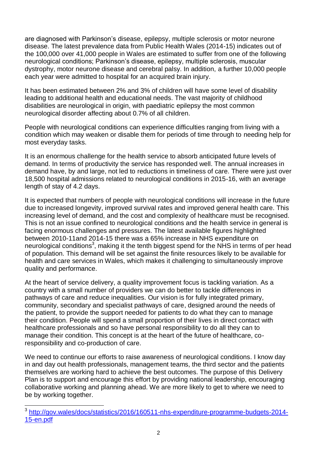are diagnosed with Parkinson's disease, epilepsy, multiple sclerosis or motor neurone disease. The latest prevalence data from Public Health Wales (2014-15) indicates out of the 100,000 over 41,000 people in Wales are estimated to suffer from one of the following neurological conditions; Parkinson's disease, epilepsy, multiple sclerosis, muscular dystrophy, motor neurone disease and cerebral palsy. In addition, a further 10,000 people each year were admitted to hospital for an acquired brain injury.

It has been estimated between 2% and 3% of children will have some level of disability leading to additional health and educational needs. The vast majority of childhood disabilities are neurological in origin, with paediatric epilepsy the most common neurological disorder affecting about 0.7% of all children.

People with neurological conditions can experience difficulties ranging from living with a condition which may weaken or disable them for periods of time through to needing help for most everyday tasks.

It is an enormous challenge for the health service to absorb anticipated future levels of demand. In terms of productivity the service has responded well. The annual increases in demand have, by and large, not led to reductions in timeliness of care. There were just over 18,500 hospital admissions related to neurological conditions in 2015-16, with an average length of stay of 4.2 days.

It is expected that numbers of people with neurological conditions will increase in the future due to increased longevity, improved survival rates and improved general health care. This increasing level of demand, and the cost and complexity of healthcare must be recognised. This is not an issue confined to neurological conditions and the health service in general is facing enormous challenges and pressures. The latest available figures highlighted between 2010-11and 2014-15 there was a 65% increase in NHS expenditure on neurological conditions<sup>3</sup>, making it the tenth biggest spend for the NHS in terms of per head of population. This demand will be set against the finite resources likely to be available for health and care services in Wales, which makes it challenging to simultaneously improve quality and performance.

At the heart of service delivery, a quality improvement focus is tackling variation. As a country with a small number of providers we can do better to tackle differences in pathways of care and reduce inequalities. Our vision is for fully integrated primary, community, secondary and specialist pathways of care, designed around the needs of the patient, to provide the support needed for patients to do what they can to manage their condition. People will spend a small proportion of their lives in direct contact with healthcare professionals and so have personal responsibility to do all they can to manage their condition. This concept is at the heart of the future of healthcare, coresponsibility and co-production of care.

We need to continue our efforts to raise awareness of neurological conditions. I know day in and day out health professionals, management teams, the third sector and the patients themselves are working hard to achieve the best outcomes. The purpose of this Delivery Plan is to support and encourage this effort by providing national leadership, encouraging collaborative working and planning ahead. We are more likely to get to where we need to be by working together.

 $\overline{a}$ 

<sup>&</sup>lt;sup>3</sup> [http://gov.wales/docs/statistics/2016/160511-nhs-expenditure-programme-budgets-2014-](http://gov.wales/docs/statistics/2016/160511-nhs-expenditure-programme-budgets-2014-15-en.pdf) [15-en.pdf](http://gov.wales/docs/statistics/2016/160511-nhs-expenditure-programme-budgets-2014-15-en.pdf)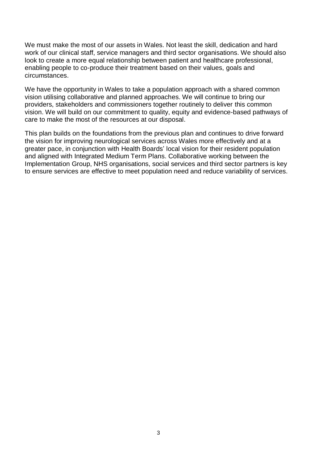We must make the most of our assets in Wales. Not least the skill, dedication and hard work of our clinical staff, service managers and third sector organisations. We should also look to create a more equal relationship between patient and healthcare professional, enabling people to co-produce their treatment based on their values, goals and circumstances.

We have the opportunity in Wales to take a population approach with a shared common vision utilising collaborative and planned approaches. We will continue to bring our providers, stakeholders and commissioners together routinely to deliver this common vision. We will build on our commitment to quality, equity and evidence-based pathways of care to make the most of the resources at our disposal.

This plan builds on the foundations from the previous plan and continues to drive forward the vision for improving neurological services across Wales more effectively and at a greater pace, in conjunction with Health Boards' local vision for their resident population and aligned with Integrated Medium Term Plans. Collaborative working between the Implementation Group, NHS organisations, social services and third sector partners is key to ensure services are effective to meet population need and reduce variability of services.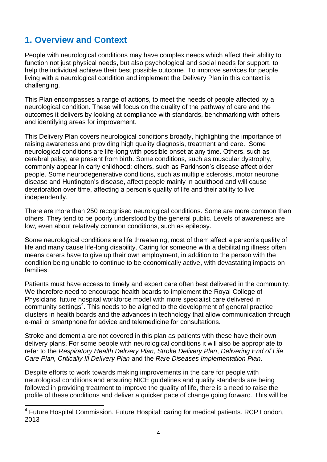# **1. Overview and Context**

 $\overline{a}$ 

People with neurological conditions may have complex needs which affect their ability to function not just physical needs, but also psychological and social needs for support, to help the individual achieve their best possible outcome. To improve services for people living with a neurological condition and implement the Delivery Plan in this context is challenging.

This Plan encompasses a range of actions, to meet the needs of people affected by a neurological condition. These will focus on the quality of the pathway of care and the outcomes it delivers by looking at compliance with standards, benchmarking with others and identifying areas for improvement.

This Delivery Plan covers neurological conditions broadly, highlighting the importance of raising awareness and providing high quality diagnosis, treatment and care. Some neurological conditions are life-long with possible onset at any time. Others, such as cerebral palsy, are present from birth. Some conditions, such as muscular dystrophy, commonly appear in early childhood; others, such as Parkinson's disease affect older people. Some neurodegenerative conditions, such as multiple sclerosis, motor neurone disease and Huntington's disease, affect people mainly in adulthood and will cause deterioration over time, affecting a person's quality of life and their ability to live independently.

There are more than 250 recognised neurological conditions. Some are more common than others. They tend to be poorly understood by the general public. Levels of awareness are low, even about relatively common conditions, such as epilepsy.

Some neurological conditions are life threatening; most of them affect a person's quality of life and many cause life-long disability. Caring for someone with a debilitating illness often means carers have to give up their own employment, in addition to the person with the condition being unable to continue to be economically active, with devastating impacts on families.

Patients must have access to timely and expert care often best delivered in the community. We therefore need to encourage health boards to implement the Royal College of Physicians' future hospital workforce model with more specialist care delivered in community settings<sup>4</sup>. This needs to be aligned to the development of general practice clusters in health boards and the advances in technology that allow communication through e-mail or smartphone for advice and telemedicine for consultations.

Stroke and dementia are not covered in this plan as patients with these have their own delivery plans. For some people with neurological conditions it will also be appropriate to refer to the *Respiratory Health Delivery Plan*, *Stroke Delivery Plan*, *Delivering End of Life Care Plan, Critically Ill Delivery Plan* and the *Rare Diseases Implementation Plan*.

Despite efforts to work towards making improvements in the care for people with neurological conditions and ensuring NICE guidelines and quality standards are being followed in providing treatment to improve the quality of life, there is a need to raise the profile of these conditions and deliver a quicker pace of change going forward. This will be

<sup>&</sup>lt;sup>4</sup> Future Hospital Commission. Future Hospital: caring for medical patients. RCP London, 2013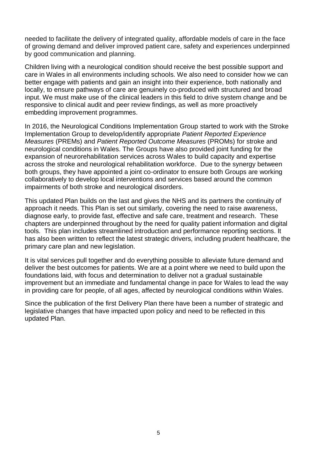needed to facilitate the delivery of integrated quality, affordable models of care in the face of growing demand and deliver improved patient care, safety and experiences underpinned by good communication and planning.

Children living with a neurological condition should receive the best possible support and care in Wales in all environments including schools. We also need to consider how we can better engage with patients and gain an insight into their experience, both nationally and locally, to ensure pathways of care are genuinely co-produced with structured and broad input. We must make use of the clinical leaders in this field to drive system change and be responsive to clinical audit and peer review findings, as well as more proactively embedding improvement programmes.

In 2016, the Neurological Conditions Implementation Group started to work with the Stroke Implementation Group to develop/identify appropriate *Patient Reported Experience Measures* (PREMs) and *Patient Reported Outcome Measures* (PROMs) for stroke and neurological conditions in Wales. The Groups have also provided joint funding for the expansion of neurorehabilitation services across Wales to build capacity and expertise across the stroke and neurological rehabilitation workforce. Due to the synergy between both groups, they have appointed a joint co-ordinator to ensure both Groups are working collaboratively to develop local interventions and services based around the common impairments of both stroke and neurological disorders.

This updated Plan builds on the last and gives the NHS and its partners the continuity of approach it needs. This Plan is set out similarly, covering the need to raise awareness, diagnose early, to provide fast, effective and safe care, treatment and research. These chapters are underpinned throughout by the need for quality patient information and digital tools. This plan includes streamlined introduction and performance reporting sections. It has also been written to reflect the latest strategic drivers, including prudent healthcare, the primary care plan and new legislation.

It is vital services pull together and do everything possible to alleviate future demand and deliver the best outcomes for patients. We are at a point where we need to build upon the foundations laid, with focus and determination to deliver not a gradual sustainable improvement but an immediate and fundamental change in pace for Wales to lead the way in providing care for people, of all ages, affected by neurological conditions within Wales.

Since the publication of the first Delivery Plan there have been a number of strategic and legislative changes that have impacted upon policy and need to be reflected in this updated Plan.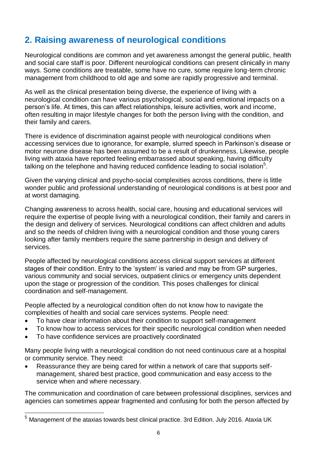# **2. Raising awareness of neurological conditions**

Neurological conditions are common and yet awareness amongst the general public, health and social care staff is poor. Different neurological conditions can present clinically in many ways. Some conditions are treatable, some have no cure, some require long-term chronic management from childhood to old age and some are rapidly progressive and terminal.

As well as the clinical presentation being diverse, the experience of living with a neurological condition can have various psychological, social and emotional impacts on a person's life. At times, this can affect relationships, leisure activities, work and income, often resulting in major lifestyle changes for both the person living with the condition, and their family and carers.

There is evidence of discrimination against people with neurological conditions when accessing services due to ignorance, for example, slurred speech in Parkinson's disease or motor neurone disease has been assumed to be a result of drunkenness. Likewise, people living with ataxia have reported feeling embarrassed about speaking, having difficulty talking on the telephone and having reduced confidence leading to social isolation $5$ .

Given the varying clinical and psycho-social complexities across conditions, there is little wonder public and professional understanding of neurological conditions is at best poor and at worst damaging.

Changing awareness to across health, social care, housing and educational services will require the expertise of people living with a neurological condition, their family and carers in the design and delivery of services. Neurological conditions can affect children and adults and so the needs of children living with a neurological condition and those young carers looking after family members require the same partnership in design and delivery of services.

People affected by neurological conditions access clinical support services at different stages of their condition. Entry to the 'system' is varied and may be from GP surgeries, various community and social services, outpatient clinics or emergency units dependent upon the stage or progression of the condition. This poses challenges for clinical coordination and self-management.

People affected by a neurological condition often do not know how to navigate the complexities of health and social care services systems. People need:

- To have clear information about their condition to support self-management
- To know how to access services for their specific neurological condition when needed
- To have confidence services are proactively coordinated

 $\overline{\phantom{a}}$ 

Many people living with a neurological condition do not need continuous care at a hospital or community service. They need:

 Reassurance they are being cared for within a network of care that supports selfmanagement, shared best practice, good communication and easy access to the service when and where necessary.

The communication and coordination of care between professional disciplines, services and agencies can sometimes appear fragmented and confusing for both the person affected by

<sup>5</sup> Management of the ataxias towards best clinical practice. 3rd Edition. July 2016. Ataxia UK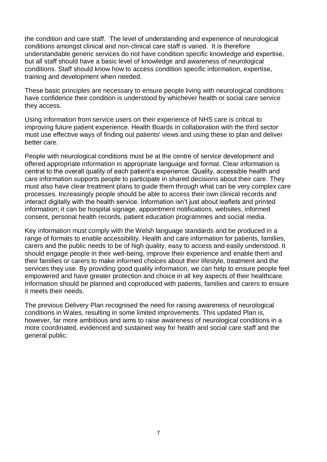the condition and care staff. The level of understanding and experience of neurological conditions amongst clinical and non-clinical care staff is varied. It is therefore understandable generic services do not have condition specific knowledge and expertise, but all staff should have a basic level of knowledge and awareness of neurological conditions. Staff should know how to access condition specific information, expertise, training and development when needed.

These basic principles are necessary to ensure people living with neurological conditions have confidence their condition is understood by whichever health or social care service they access.

Using information from service users on their experience of NHS care is critical to improving future patient experience. Health Boards in collaboration with the third sector must use effective ways of finding out patients' views and using these to plan and deliver better care.

People with neurological conditions must be at the centre of service development and offered appropriate information in appropriate language and format. Clear information is central to the overall quality of each patient's experience. Quality, accessible health and care information supports people to participate in shared decisions about their care. They must also have clear treatment plans to guide them through what can be very complex care processes. Increasingly people should be able to access their own clinical records and interact digitally with the health service. Information isn't just about leaflets and printed information; it can be hospital signage, appointment notifications, websites, informed consent, personal health records, patient education programmes and social media.

Key information must comply with the Welsh language standards and be produced in a range of formats to enable accessibility. Health and care information for patients, families, carers and the public needs to be of high quality, easy to access and easily understood. It should engage people in their well-being, improve their experience and enable them and their families or carers to make informed choices about their lifestyle, treatment and the services they use. By providing good quality information, we can help to ensure people feel empowered and have greater protection and choice in all key aspects of their healthcare. Information should be planned and coproduced with patients, families and carers to ensure it meets their needs.

The previous Delivery Plan recognised the need for raising awareness of neurological conditions in Wales, resulting in some limited improvements. This updated Plan is, however, far more ambitious and aims to raise awareness of neurological conditions in a more coordinated, evidenced and sustained way for health and social care staff and the general public.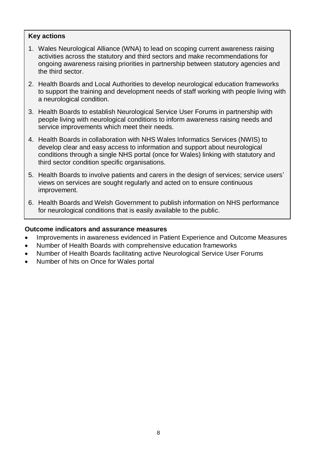#### **Key actions**

- 1. Wales Neurological Alliance (WNA) to lead on scoping current awareness raising activities across the statutory and third sectors and make recommendations for ongoing awareness raising priorities in partnership between statutory agencies and the third sector.
- 2. Health Boards and Local Authorities to develop neurological education frameworks to support the training and development needs of staff working with people living with a neurological condition.
- 3. Health Boards to establish Neurological Service User Forums in partnership with people living with neurological conditions to inform awareness raising needs and service improvements which meet their needs.
- 4. Health Boards in collaboration with NHS Wales Informatics Services (NWIS) to develop clear and easy access to information and support about neurological conditions through a single NHS portal (once for Wales) linking with statutory and third sector condition specific organisations.
- 5. Health Boards to involve patients and carers in the design of services; service users' views on services are sought regularly and acted on to ensure continuous improvement.
- 6. Health Boards and Welsh Government to publish information on NHS performance for neurological conditions that is easily available to the public.

- Improvements in awareness evidenced in Patient Experience and Outcome Measures
- Number of Health Boards with comprehensive education frameworks
- Number of Health Boards facilitating active Neurological Service User Forums
- Number of hits on Once for Wales portal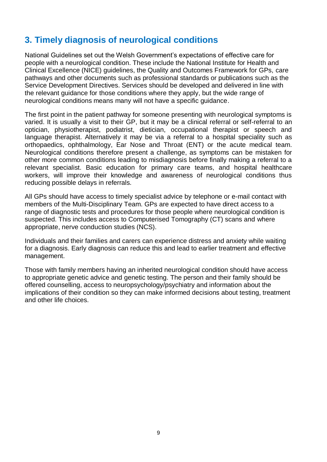## **3. Timely diagnosis of neurological conditions**

National Guidelines set out the Welsh Government's expectations of effective care for people with a neurological condition. These include the National Institute for Health and Clinical Excellence (NICE) guidelines, the Quality and Outcomes Framework for GPs, care pathways and other documents such as professional standards or publications such as the Service Development Directives. Services should be developed and delivered in line with the relevant guidance for those conditions where they apply, but the wide range of neurological conditions means many will not have a specific guidance.

The first point in the patient pathway for someone presenting with neurological symptoms is varied. It is usually a visit to their GP, but it may be a clinical referral or self-referral to an optician, physiotherapist, podiatrist, dietician, occupational therapist or speech and language therapist. Alternatively it may be via a referral to a hospital speciality such as orthopaedics, ophthalmology, Ear Nose and Throat (ENT) or the acute medical team. Neurological conditions therefore present a challenge, as symptoms can be mistaken for other more common conditions leading to misdiagnosis before finally making a referral to a relevant specialist. Basic education for primary care teams, and hospital healthcare workers, will improve their knowledge and awareness of neurological conditions thus reducing possible delays in referrals.

All GPs should have access to timely specialist advice by telephone or e-mail contact with members of the Multi-Disciplinary Team. GPs are expected to have direct access to a range of diagnostic tests and procedures for those people where neurological condition is suspected. This includes access to Computerised Tomography (CT) scans and where appropriate, nerve conduction studies (NCS).

Individuals and their families and carers can experience distress and anxiety while waiting for a diagnosis. Early diagnosis can reduce this and lead to earlier treatment and effective management.

Those with family members having an inherited neurological condition should have access to appropriate genetic advice and genetic testing. The person and their family should be offered counselling, access to neuropsychology/psychiatry and information about the implications of their condition so they can make informed decisions about testing, treatment and other life choices.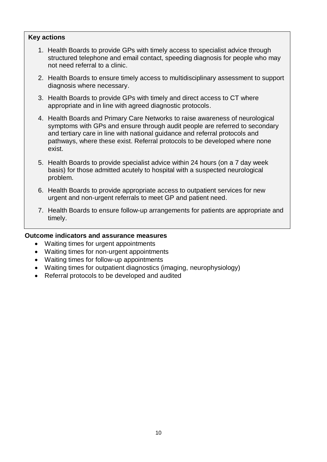#### **Key actions**

- 1. Health Boards to provide GPs with timely access to specialist advice through structured telephone and email contact, speeding diagnosis for people who may not need referral to a clinic.
- 2. Health Boards to ensure timely access to multidisciplinary assessment to support diagnosis where necessary.
- 3. Health Boards to provide GPs with timely and direct access to CT where appropriate and in line with agreed diagnostic protocols.
- 4. Health Boards and Primary Care Networks to raise awareness of neurological symptoms with GPs and ensure through audit people are referred to secondary and tertiary care in line with national guidance and referral protocols and pathways, where these exist. Referral protocols to be developed where none exist.
- 5. Health Boards to provide specialist advice within 24 hours (on a 7 day week basis) for those admitted acutely to hospital with a suspected neurological problem.
- 6. Health Boards to provide appropriate access to outpatient services for new urgent and non-urgent referrals to meet GP and patient need.
- 7. Health Boards to ensure follow-up arrangements for patients are appropriate and timely.

- Waiting times for urgent appointments
- Waiting times for non-urgent appointments
- Waiting times for follow-up appointments
- Waiting times for outpatient diagnostics (imaging, neurophysiology)
- Referral protocols to be developed and audited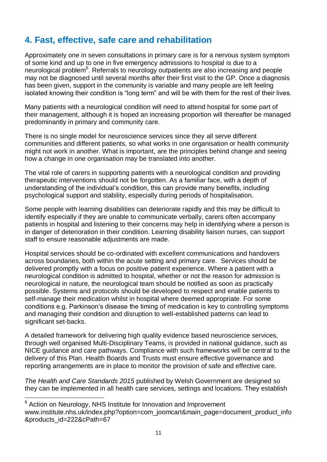## **4. Fast, effective, safe care and rehabilitation**

Approximately one in seven consultations in primary care is for a nervous system symptom of some kind and up to one in five emergency admissions to hospital is due to a neurological problem<sup>6</sup>. Referrals to neurology outpatients are also increasing and people may not be diagnosed until several months after their first visit to the GP. Once a diagnosis has been given, support in the community is variable and many people are left feeling isolated knowing their condition is "long term" and will be with them for the rest of their lives.

Many patients with a neurological condition will need to attend hospital for some part of their management, although it is hoped an increasing proportion will thereafter be managed predominantly in primary and community care.

There is no single model for neuroscience services since they all serve different communities and different patients, so what works in one organisation or health community might not work in another. What is important, are the principles behind change and seeing how a change in one organisation may be translated into another.

The vital role of carers in supporting patients with a neurological condition and providing therapeutic interventions should not be forgotten. As a familiar face, with a depth of understanding of the individual's condition, this can provide many benefits, including psychological support and stability, especially during periods of hospitalisation.

Some people with learning disabilities can deteriorate rapidly and this may be difficult to identify especially if they are unable to communicate verbally, carers often accompany patients in hospital and listening to their concerns may help in identifying where a person is in danger of deterioration in their condition. Learning disability liaison nurses, can support staff to ensure reasonable adjustments are made.

Hospital services should be co-ordinated with excellent communications and handovers across boundaries, both within the acute setting and primary care. Services should be delivered promptly with a focus on positive patient experience. Where a patient with a neurological condition is admitted to hospital, whether or not the reason for admission is neurological in nature, the neurological team should be notified as soon as practically possible. Systems and protocols should be developed to respect and enable patients to self-manage their medication whilst in hospital where deemed appropriate. For some conditions e.g. Parkinson's disease the timing of medication is key to controlling symptoms and managing their condition and disruption to well-established patterns can lead to significant set-backs.

A detailed framework for delivering high quality evidence based neuroscience services, through well organised Multi-Disciplinary Teams, is provided in national guidance, such as NICE guidance and care pathways. Compliance with such frameworks will be central to the delivery of this Plan. Health Boards and Trusts must ensure effective governance and reporting arrangements are in place to monitor the provision of safe and effective care.

*The Health and Care Standards 2015* published by Welsh Government are designed so they can be implemented in all health care services, settings and locations. They establish

 $\overline{\phantom{a}}$ 

 $6$  Action on Neurology, NHS Institute for Innovation and Improvement www.institute.nhs.uk/index.php?option=com\_joomcart&main\_page=document\_product\_info &products\_id=222&cPath=67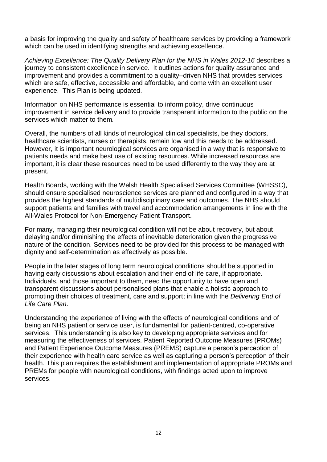a basis for improving the quality and safety of healthcare services by providing a framework which can be used in identifying strengths and achieving excellence.

*Achieving Excellence: The Quality Delivery Plan for the NHS in Wales 2012-16* describes a journey to consistent excellence in service. It outlines actions for quality assurance and improvement and provides a commitment to a quality–driven NHS that provides services which are safe, effective, accessible and affordable, and come with an excellent user experience. This Plan is being updated.

Information on NHS performance is essential to inform policy, drive continuous improvement in service delivery and to provide transparent information to the public on the services which matter to them.

Overall, the numbers of all kinds of neurological clinical specialists, be they doctors, healthcare scientists, nurses or therapists, remain low and this needs to be addressed. However, it is important neurological services are organised in a way that is responsive to patients needs and make best use of existing resources. While increased resources are important, it is clear these resources need to be used differently to the way they are at present.

Health Boards, working with the Welsh Health Specialised Services Committee (WHSSC), should ensure specialised neuroscience services are planned and configured in a way that provides the highest standards of multidisciplinary care and outcomes. The NHS should support patients and families with travel and accommodation arrangements in line with the All-Wales Protocol for Non-Emergency Patient Transport.

For many, managing their neurological condition will not be about recovery, but about delaying and/or diminishing the effects of inevitable deterioration given the progressive nature of the condition. Services need to be provided for this process to be managed with dignity and self-determination as effectively as possible.

People in the later stages of long term neurological conditions should be supported in having early discussions about escalation and their end of life care, if appropriate. Individuals, and those important to them, need the opportunity to have open and transparent discussions about personalised plans that enable a holistic approach to promoting their choices of treatment, care and support; in line with the *Delivering End of Life Care Plan*.

Understanding the experience of living with the effects of neurological conditions and of being an NHS patient or service user, is fundamental for patient-centred, co-operative services. This understanding is also key to developing appropriate services and for measuring the effectiveness of services. Patient Reported Outcome Measures (PROMs) and Patient Experience Outcome Measures (PREMS) capture a person's perception of their experience with health care service as well as capturing a person's perception of their health. This plan requires the establishment and implementation of appropriate PROMs and PREMs for people with neurological conditions, with findings acted upon to improve services.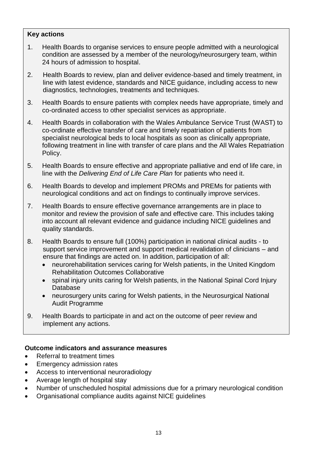#### **Key actions**

- 1. Health Boards to organise services to ensure people admitted with a neurological condition are assessed by a member of the neurology/neurosurgery team, within 24 hours of admission to hospital.
- 2. Health Boards to review, plan and deliver evidence-based and timely treatment, in line with latest evidence, standards and NICE guidance, including access to new diagnostics, technologies, treatments and techniques.
- 3. Health Boards to ensure patients with complex needs have appropriate, timely and co-ordinated access to other specialist services as appropriate.
- 4. Health Boards in collaboration with the Wales Ambulance Service Trust (WAST) to co-ordinate effective transfer of care and timely repatriation of patients from specialist neurological beds to local hospitals as soon as clinically appropriate, following treatment in line with transfer of care plans and the All Wales Repatriation Policy.
- 5. Health Boards to ensure effective and appropriate palliative and end of life care, in line with the *Delivering End of Life Care Plan* for patients who need it.
- 6. Health Boards to develop and implement PROMs and PREMs for patients with neurological conditions and act on findings to continually improve services.
- 7. Health Boards to ensure effective governance arrangements are in place to monitor and review the provision of safe and effective care. This includes taking into account all relevant evidence and guidance including NICE guidelines and quality standards.
- 8. Health Boards to ensure full (100%) participation in national clinical audits to support service improvement and support medical revalidation of clinicians – and ensure that findings are acted on. In addition, participation of all:
	- neurorehabilitation services caring for Welsh patients, in the United Kingdom Rehabilitation Outcomes Collaborative
	- spinal injury units caring for Welsh patients, in the National Spinal Cord Injury Database
	- neurosurgery units caring for Welsh patients, in the Neurosurgical National Audit Programme
- 9. Health Boards to participate in and act on the outcome of peer review and implement any actions.

- Referral to treatment times
- Emergency admission rates
- Access to interventional neuroradiology
- Average length of hospital stay
- Number of unscheduled hospital admissions due for a primary neurological condition
- Organisational compliance audits against NICE guidelines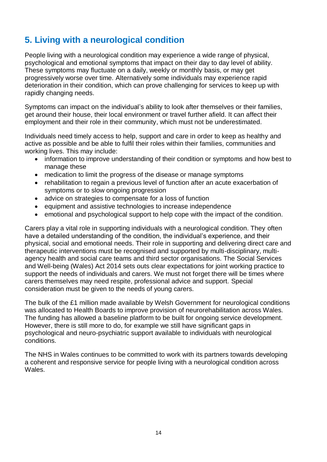# **5. Living with a neurological condition**

People living with a neurological condition may experience a wide range of physical, psychological and emotional symptoms that impact on their day to day level of ability. These symptoms may fluctuate on a daily, weekly or monthly basis, or may get progressively worse over time. Alternatively some individuals may experience rapid deterioration in their condition, which can prove challenging for services to keep up with rapidly changing needs.

Symptoms can impact on the individual's ability to look after themselves or their families, get around their house, their local environment or travel further afield. It can affect their employment and their role in their community, which must not be underestimated.

Individuals need timely access to help, support and care in order to keep as healthy and active as possible and be able to fulfil their roles within their families, communities and working lives. This may include:

- information to improve understanding of their condition or symptoms and how best to manage these
- medication to limit the progress of the disease or manage symptoms
- rehabilitation to regain a previous level of function after an acute exacerbation of symptoms or to slow ongoing progression
- advice on strategies to compensate for a loss of function
- equipment and assistive technologies to increase independence
- emotional and psychological support to help cope with the impact of the condition.

Carers play a vital role in supporting individuals with a neurological condition. They often have a detailed understanding of the condition, the individual's experience, and their physical, social and emotional needs. Their role in supporting and delivering direct care and therapeutic interventions must be recognised and supported by multi-disciplinary, multiagency health and social care teams and third sector organisations. The Social Services and Well-being (Wales) Act 2014 sets outs clear expectations for joint working practice to support the needs of individuals and carers. We must not forget there will be times where carers themselves may need respite, professional advice and support. Special consideration must be given to the needs of young carers.

The bulk of the £1 million made available by Welsh Government for neurological conditions was allocated to Health Boards to improve provision of neurorehabilitation across Wales. The funding has allowed a baseline platform to be built for ongoing service development. However, there is still more to do, for example we still have significant gaps in psychological and neuro-psychiatric support available to individuals with neurological conditions.

The NHS in Wales continues to be committed to work with its partners towards developing a coherent and responsive service for people living with a neurological condition across Wales.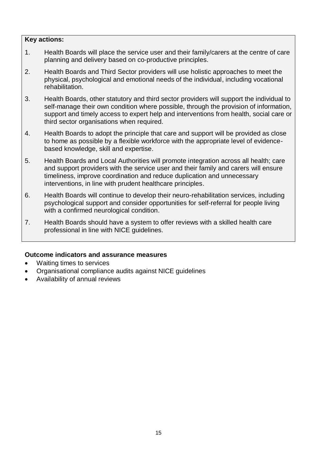#### **Key actions:**

- 1. Health Boards will place the service user and their family/carers at the centre of care planning and delivery based on co-productive principles.
- 2. Health Boards and Third Sector providers will use holistic approaches to meet the physical, psychological and emotional needs of the individual, including vocational rehabilitation.
- 3. Health Boards, other statutory and third sector providers will support the individual to self-manage their own condition where possible, through the provision of information, support and timely access to expert help and interventions from health, social care or third sector organisations when required.
- 4. Health Boards to adopt the principle that care and support will be provided as close to home as possible by a flexible workforce with the appropriate level of evidencebased knowledge, skill and expertise.
- 5. Health Boards and Local Authorities will promote integration across all health; care and support providers with the service user and their family and carers will ensure timeliness, improve coordination and reduce duplication and unnecessary interventions, in line with prudent healthcare principles.
- 6. Health Boards will continue to develop their neuro-rehabilitation services, including psychological support and consider opportunities for self-referral for people living with a confirmed neurological condition.
- 7. Health Boards should have a system to offer reviews with a skilled health care professional in line with NICE guidelines.

- Waiting times to services
- Organisational compliance audits against NICE guidelines
- Availability of annual reviews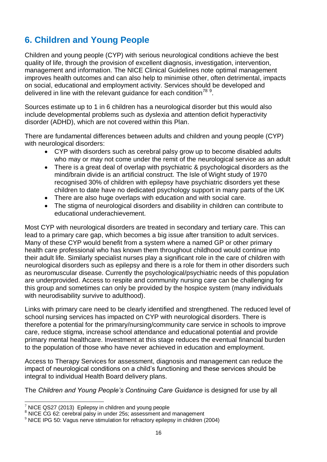# **6. Children and Young People**

Children and young people (CYP) with serious neurological conditions achieve the best quality of life, through the provision of excellent diagnosis, investigation, intervention, management and information. The NICE Clinical Guidelines note optimal management improves health outcomes and can also help to minimise other, often detrimental, impacts on social, educational and employment activity. Services should be developed and delivered in line with the relevant guidance for each condition<sup>789</sup>.

Sources estimate up to 1 in 6 children has a neurological disorder but this would also include developmental problems such as dyslexia and attention deficit hyperactivity disorder (ADHD), which are not covered within this Plan.

There are fundamental differences between adults and children and young people (CYP) with neurological disorders:

- CYP with disorders such as cerebral palsy grow up to become disabled adults who may or may not come under the remit of the neurological service as an adult
- There is a great deal of overlap with psychiatric & psychological disorders as the mind/brain divide is an artificial construct. The Isle of Wight study of 1970 recognised 30% of children with epilepsy have psychiatric disorders yet these children to date have no dedicated psychology support in many parts of the UK
- There are also huge overlaps with education and with social care.
- The stigma of neurological disorders and disability in children can contribute to educational underachievement.

Most CYP with neurological disorders are treated in secondary and tertiary care. This can lead to a primary care gap, which becomes a big issue after transition to adult services. Many of these CYP would benefit from a system where a named GP or other primary health care professional who has known them throughout childhood would continue into their adult life. Similarly specialist nurses play a significant role in the care of children with neurological disorders such as epilepsy and there is a role for them in other disorders such as neuromuscular disease. Currently the psychological/psychiatric needs of this population are underprovided. Access to respite and community nursing care can be challenging for this group and sometimes can only be provided by the hospice system (many individuals with neurodisability survive to adulthood).

Links with primary care need to be clearly identified and strengthened. The reduced level of school nursing services has impacted on CYP with neurological disorders. There is therefore a potential for the primary/nursing/community care service in schools to improve care, reduce stigma, increase school attendance and educational potential and provide primary mental healthcare. Investment at this stage reduces the eventual financial burden to the population of those who have never achieved in education and employment.

Access to Therapy Services for assessment, diagnosis and management can reduce the impact of neurological conditions on a child's functioning and these services should be integral to individual Health Board delivery plans.

The *Children and Young People's Continuing Care Guidance* is designed for use by all

 $\overline{\phantom{a}}$ 

 $7$  NICE QS27 (2013) Epilepsy in children and young people

<sup>8</sup> NICE CG 62: cerebral palsy in under 25s; assessment and management

<sup>&</sup>lt;sup>9</sup> NICE IPG 50: Vagus nerve stimulation for refractory epilepsy in children (2004)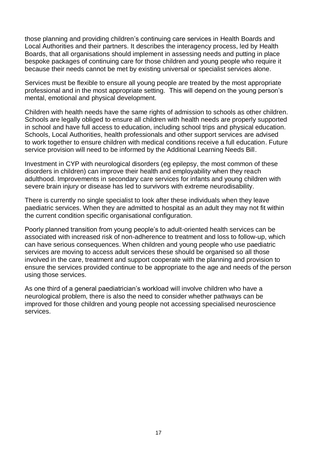those planning and providing children's continuing care services in Health Boards and Local Authorities and their partners. It describes the interagency process, led by Health Boards, that all organisations should implement in assessing needs and putting in place bespoke packages of continuing care for those children and young people who require it because their needs cannot be met by existing universal or specialist services alone.

Services must be flexible to ensure all young people are treated by the most appropriate professional and in the most appropriate setting. This will depend on the young person's mental, emotional and physical development.

Children with health needs have the same rights of admission to schools as other children. Schools are legally obliged to ensure all children with health needs are properly supported in school and have full access to education, including school trips and physical education. Schools, Local Authorities, health professionals and other support services are advised to work together to ensure children with medical conditions receive a full education. Future service provision will need to be informed by the Additional Learning Needs Bill.

Investment in CYP with neurological disorders (eg epilepsy, the most common of these disorders in children) can improve their health and employability when they reach adulthood. Improvements in secondary care services for infants and young children with severe brain injury or disease has led to survivors with extreme neurodisability.

There is currently no single specialist to look after these individuals when they leave paediatric services. When they are admitted to hospital as an adult they may not fit within the current condition specific organisational configuration.

Poorly planned transition from young people's to adult-oriented health services can be associated with increased risk of non-adherence to treatment and loss to follow-up, which can have serious consequences. When children and young people who use paediatric services are moving to access adult services these should be organised so all those involved in the care, treatment and support cooperate with the planning and provision to ensure the services provided continue to be appropriate to the age and needs of the person using those services.

As one third of a general paediatrician's workload will involve children who have a neurological problem, there is also the need to consider whether pathways can be improved for those children and young people not accessing specialised neuroscience services.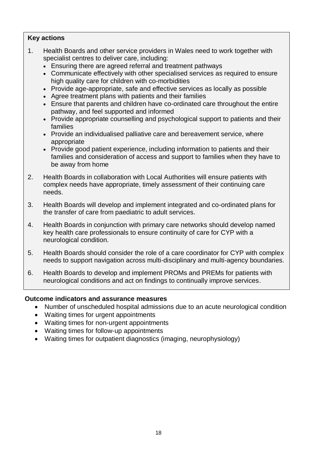#### **Key actions**

- 1. Health Boards and other service providers in Wales need to work together with specialist centres to deliver care, including:
	- Ensuring there are agreed referral and treatment pathways
	- Communicate effectively with other specialised services as required to ensure high quality care for children with co-morbidities
	- Provide age-appropriate, safe and effective services as locally as possible
	- Agree treatment plans with patients and their families
	- Ensure that parents and children have co-ordinated care throughout the entire pathway, and feel supported and informed
	- Provide appropriate counselling and psychological support to patients and their families
	- Provide an individualised palliative care and bereavement service, where appropriate
	- Provide good patient experience, including information to patients and their families and consideration of access and support to families when they have to be away from home
- 2. Health Boards in collaboration with Local Authorities will ensure patients with complex needs have appropriate, timely assessment of their continuing care needs.
- 3. Health Boards will develop and implement integrated and co-ordinated plans for the transfer of care from paediatric to adult services.
- 4. Health Boards in conjunction with primary care networks should develop named key health care professionals to ensure continuity of care for CYP with a neurological condition.
- 5. Health Boards should consider the role of a care coordinator for CYP with complex needs to support navigation across multi-disciplinary and multi-agency boundaries.
- 6. Health Boards to develop and implement PROMs and PREMs for patients with neurological conditions and act on findings to continually improve services.

- Number of unscheduled hospital admissions due to an acute neurological condition
- Waiting times for urgent appointments
- Waiting times for non-urgent appointments
- Waiting times for follow-up appointments
- Waiting times for outpatient diagnostics (imaging, neurophysiology)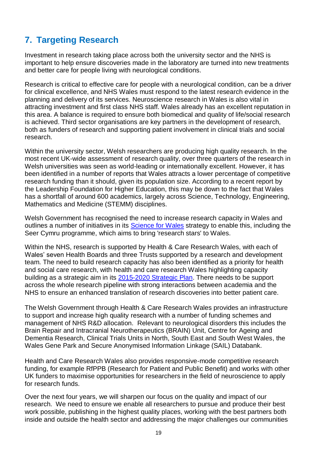# **7. Targeting Research**

Investment in research taking place across both the university sector and the NHS is important to help ensure discoveries made in the laboratory are turned into new treatments and better care for people living with neurological conditions.

Research is critical to effective care for people with a neurological condition, can be a driver for clinical excellence, and NHS Wales must respond to the latest research evidence in the planning and delivery of its services. Neuroscience research in Wales is also vital in attracting investment and first class NHS staff. Wales already has an excellent reputation in this area. A balance is required to ensure both biomedical and quality of life/social research is achieved. Third sector organisations are key partners in the development of research, both as funders of research and supporting patient involvement in clinical trials and social research.

Within the university sector, Welsh researchers are producing high quality research. In the most recent UK-wide assessment of research quality, over three quarters of the research in Welsh universities was seen as world-leading or internationally excellent. However, it has been identified in a number of reports that Wales attracts a lower percentage of competitive research funding than it should, given its population size. According to a recent report by the Leadership Foundation for Higher Education, this may be down to the fact that Wales has a shortfall of around 600 academics, largely across Science, Technology, Engineering, Mathematics and Medicine (STEMM) disciplines.

Welsh Government has recognised the need to increase research capacity in Wales and outlines a number of initiatives in its [Science for Wales](http://gov.wales/docs/det/publications/120306scienceen.pdf) strategy to enable this, including the Seer Cymru programme, which aims to bring 'research stars' to Wales.

Within the NHS, research is supported by Health & Care Research Wales, with each of Wales' seven Health Boards and three Trusts supported by a research and development team. The need to build research capacity has also been identified as a priority for health and social care research, with health and care research Wales highlighting capacity building as a strategic aim in its [2015-2020 Strategic Plan.](http://www.healthandcareresearch.gov.wales/uploads/Policy%20%26%20Strategy/Health_and_Care_Research_Wales_Strategic_Plan_2015_2020.pdf) There needs to be support across the whole research pipeline with strong interactions between academia and the NHS to ensure an enhanced translation of research discoveries into better patient care.

The Welsh Government through Health & Care Research Wales provides an infrastructure to support and increase high quality research with a number of funding schemes and management of NHS R&D allocation. Relevant to neurological disorders this includes the Brain Repair and Intracranial Neurotherapeutics (BRAIN) Unit, Centre for Ageing and Dementia Research, Clinical Trials Units in North, South East and South West Wales, the Wales Gene Park and Secure Anonymised Information Linkage (SAIL) Databank.

Health and Care Research Wales also provides responsive-mode competitive research funding, for example RfPPB (Research for Patient and Public Benefit) and works with other UK funders to maximise opportunities for researchers in the field of neuroscience to apply for research funds.

Over the next four years, we will sharpen our focus on the quality and impact of our research. We need to ensure we enable all researchers to pursue and produce their best work possible, publishing in the highest quality places, working with the best partners both inside and outside the health sector and addressing the major challenges our communities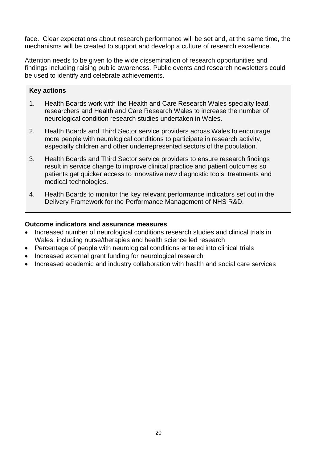face. Clear expectations about research performance will be set and, at the same time, the mechanisms will be created to support and develop a culture of research excellence.

Attention needs to be given to the wide dissemination of research opportunities and findings including raising public awareness. Public events and research newsletters could be used to identify and celebrate achievements.

#### **Key actions**

- 1. Health Boards work with the Health and Care Research Wales specialty lead, researchers and Health and Care Research Wales to increase the number of neurological condition research studies undertaken in Wales.
- 2. Health Boards and Third Sector service providers across Wales to encourage more people with neurological conditions to participate in research activity, especially children and other underrepresented sectors of the population.
- 3. Health Boards and Third Sector service providers to ensure research findings result in service change to improve clinical practice and patient outcomes so patients get quicker access to innovative new diagnostic tools, treatments and medical technologies.
- 4. Health Boards to monitor the key relevant performance indicators set out in the Delivery Framework for the Performance Management of NHS R&D.

- Increased number of neurological conditions research studies and clinical trials in Wales, including nurse/therapies and health science led research
- Percentage of people with neurological conditions entered into clinical trials
- Increased external grant funding for neurological research
- Increased academic and industry collaboration with health and social care services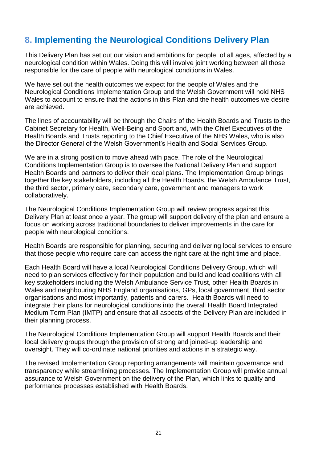## **8. Implementing the Neurological Conditions Delivery Plan**

This Delivery Plan has set out our vision and ambitions for people, of all ages, affected by a neurological condition within Wales. Doing this will involve joint working between all those responsible for the care of people with neurological conditions in Wales.

We have set out the health outcomes we expect for the people of Wales and the Neurological Conditions Implementation Group and the Welsh Government will hold NHS Wales to account to ensure that the actions in this Plan and the health outcomes we desire are achieved.

The lines of accountability will be through the Chairs of the Health Boards and Trusts to the Cabinet Secretary for Health, Well-Being and Sport and, with the Chief Executives of the Health Boards and Trusts reporting to the Chief Executive of the NHS Wales, who is also the Director General of the Welsh Government's Health and Social Services Group.

We are in a strong position to move ahead with pace. The role of the Neurological Conditions Implementation Group is to oversee the National Delivery Plan and support Health Boards and partners to deliver their local plans. The Implementation Group brings together the key stakeholders, including all the Health Boards, the Welsh Ambulance Trust, the third sector, primary care, secondary care, government and managers to work collaboratively.

The Neurological Conditions Implementation Group will review progress against this Delivery Plan at least once a year. The group will support delivery of the plan and ensure a focus on working across traditional boundaries to deliver improvements in the care for people with neurological conditions.

Health Boards are responsible for planning, securing and delivering local services to ensure that those people who require care can access the right care at the right time and place.

Each Health Board will have a local Neurological Conditions Delivery Group, which will need to plan services effectively for their population and build and lead coalitions with all key stakeholders including the Welsh Ambulance Service Trust, other Health Boards in Wales and neighbouring NHS England organisations, GPs, local government, third sector organisations and most importantly, patients and carers. Health Boards will need to integrate their plans for neurological conditions into the overall Health Board Integrated Medium Term Plan (IMTP) and ensure that all aspects of the Delivery Plan are included in their planning process.

The Neurological Conditions Implementation Group will support Health Boards and their local delivery groups through the provision of strong and joined-up leadership and oversight. They will co-ordinate national priorities and actions in a strategic way.

The revised Implementation Group reporting arrangements will maintain governance and transparency while streamlining processes. The Implementation Group will provide annual assurance to Welsh Government on the delivery of the Plan, which links to quality and performance processes established with Health Boards.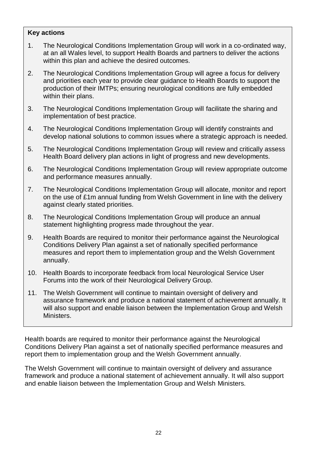#### **Key actions**

- 1. The Neurological Conditions Implementation Group will work in a co-ordinated way, at an all Wales level, to support Health Boards and partners to deliver the actions within this plan and achieve the desired outcomes.
- 2. The Neurological Conditions Implementation Group will agree a focus for delivery and priorities each year to provide clear guidance to Health Boards to support the production of their IMTPs; ensuring neurological conditions are fully embedded within their plans.
- 3. The Neurological Conditions Implementation Group will facilitate the sharing and implementation of best practice.
- 4. The Neurological Conditions Implementation Group will identify constraints and develop national solutions to common issues where a strategic approach is needed.
- 5. The Neurological Conditions Implementation Group will review and critically assess Health Board delivery plan actions in light of progress and new developments.
- 6. The Neurological Conditions Implementation Group will review appropriate outcome and performance measures annually.
- 7. The Neurological Conditions Implementation Group will allocate, monitor and report on the use of £1m annual funding from Welsh Government in line with the delivery against clearly stated priorities.
- 8. The Neurological Conditions Implementation Group will produce an annual statement highlighting progress made throughout the year.
- 9. Health Boards are required to monitor their performance against the Neurological Conditions Delivery Plan against a set of nationally specified performance measures and report them to implementation group and the Welsh Government annually.
- 10. Health Boards to incorporate feedback from local Neurological Service User Forums into the work of their Neurological Delivery Group.
- 11. The Welsh Government will continue to maintain oversight of delivery and assurance framework and produce a national statement of achievement annually. It will also support and enable liaison between the Implementation Group and Welsh Ministers.

Health boards are required to monitor their performance against the Neurological Conditions Delivery Plan against a set of nationally specified performance measures and report them to implementation group and the Welsh Government annually.

The Welsh Government will continue to maintain oversight of delivery and assurance framework and produce a national statement of achievement annually. It will also support and enable liaison between the Implementation Group and Welsh Ministers.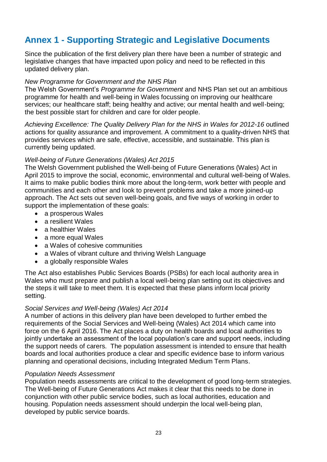# **Annex 1 - Supporting Strategic and Legislative Documents**

Since the publication of the first delivery plan there have been a number of strategic and legislative changes that have impacted upon policy and need to be reflected in this updated delivery plan.

#### *New Programme for Government and the NHS Plan*

The Welsh Government's *Programme for Government* and NHS Plan set out an ambitious programme for health and well-being in Wales focussing on improving our healthcare services; our healthcare staff; being healthy and active; our mental health and well-being; the best possible start for children and care for older people.

*Achieving Excellence: The Quality Delivery Plan for the NHS in Wales for 2012-16* outlined actions for quality assurance and improvement. A commitment to a quality-driven NHS that provides services which are safe, effective, accessible, and sustainable. This plan is currently being updated.

#### *Well-being of Future Generations (Wales) Act 2015*

The Welsh Government published the Well-being of Future Generations (Wales) Act in April 2015 to improve the social, economic, environmental and cultural well-being of Wales. It aims to make public bodies think more about the long-term, work better with people and communities and each other and look to prevent problems and take a more joined-up approach. The Act sets out seven well-being goals, and five ways of working in order to support the implementation of these goals:

- a prosperous Wales
- a resilient Wales
- a healthier Wales
- a more equal Wales
- a Wales of cohesive communities
- a Wales of vibrant culture and thriving Welsh Language
- a globally responsible Wales

The Act also establishes Public Services Boards (PSBs) for each local authority area in Wales who must prepare and publish a local well-being plan setting out its objectives and the steps it will take to meet them. It is expected that these plans inform local priority setting.

#### *Social Services and Well-being (Wales) Act 2014*

A number of actions in this delivery plan have been developed to further embed the requirements of the Social Services and Well-being (Wales) Act 2014 which came into force on the 6 April 2016. The Act places a duty on health boards and local authorities to jointly undertake an assessment of the local population's care and support needs, including the support needs of carers. The population assessment is intended to ensure that health boards and local authorities produce a clear and specific evidence base to inform various planning and operational decisions, including Integrated Medium Term Plans.

#### *Population Needs Assessment*

Population needs assessments are critical to the development of good long-term strategies. The Well-being of Future Generations Act makes it clear that this needs to be done in conjunction with other public service bodies, such as local authorities, education and housing. Population needs assessment should underpin the local well-being plan, developed by public service boards.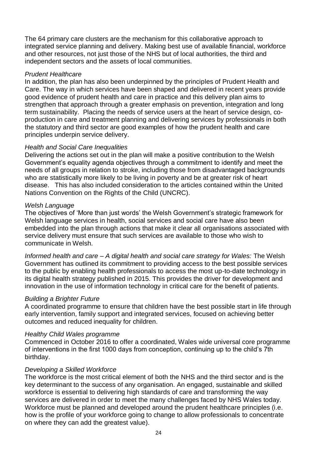The 64 primary care clusters are the mechanism for this collaborative approach to integrated service planning and delivery. Making best use of available financial, workforce and other resources, not just those of the NHS but of local authorities, the third and independent sectors and the assets of local communities.

#### *Prudent Healthcare*

In addition, the plan has also been underpinned by the principles of Prudent Health and Care. The way in which services have been shaped and delivered in recent years provide good evidence of prudent health and care in practice and this delivery plan aims to strengthen that approach through a greater emphasis on prevention, integration and long term sustainability. Placing the needs of service users at the heart of service design, coproduction in care and treatment planning and delivering services by professionals in both the statutory and third sector are good examples of how the prudent health and care principles underpin service delivery.

#### *Health and Social Care Inequalities*

Delivering the actions set out in the plan will make a positive contribution to the Welsh Government's equality agenda objectives through a commitment to identify and meet the needs of all groups in relation to stroke, including those from disadvantaged backgrounds who are statistically more likely to be living in poverty and be at greater risk of heart disease. This has also included consideration to the articles contained within the United Nations Convention on the Rights of the Child (UNCRC).

#### *Welsh Language*

The objectives of 'More than just words' the Welsh Government's strategic framework for Welsh language services in health, social services and social care have also been embedded into the plan through actions that make it clear all organisations associated with service delivery must ensure that such services are available to those who wish to communicate in Welsh.

*Informed health and care – A digital health and social care strategy for Wales:* The Welsh Government has outlined its commitment to providing access to the best possible services to the public by enabling health professionals to access the most up-to-date technology in its digital health strategy published in 2015. This provides the driver for development and innovation in the use of information technology in critical care for the benefit of patients.

#### *Building a Brighter Future*

A coordinated programme to ensure that children have the best possible start in life through early intervention, family support and integrated services, focused on achieving better outcomes and reduced inequality for children.

#### *Healthy Child Wales programme*

Commenced in October 2016 to offer a coordinated, Wales wide universal core programme of interventions in the first 1000 days from conception, continuing up to the child's 7th birthday.

#### *Developing a Skilled Workforce*

The workforce is the most critical element of both the NHS and the third sector and is the key determinant to the success of any organisation. An engaged, sustainable and skilled workforce is essential to delivering high standards of care and transforming the way services are delivered in order to meet the many challenges faced by NHS Wales today. Workforce must be planned and developed around the prudent healthcare principles (i.e. how is the profile of your workforce going to change to allow professionals to concentrate on where they can add the greatest value).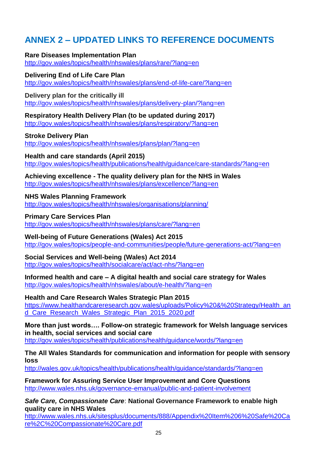# **ANNEX 2 – UPDATED LINKS TO REFERENCE DOCUMENTS**

**Rare Diseases Implementation Plan** <http://gov.wales/topics/health/nhswales/plans/rare/?lang=en>

**Delivering End of Life Care Plan** <http://gov.wales/topics/health/nhswales/plans/end-of-life-care/?lang=en>

**Delivery plan for the critically ill**  <http://gov.wales/topics/health/nhswales/plans/delivery-plan/?lang=en>

**Respiratory Health Delivery Plan (to be updated during 2017)** <http://gov.wales/topics/health/nhswales/plans/respiratory/?lang=en>

**Stroke Delivery Plan** <http://gov.wales/topics/health/nhswales/plans/plan/?lang=en>

**Health and care standards (April 2015)** <http://gov.wales/topics/health/publications/health/guidance/care-standards/?lang=en>

**Achieving excellence - The quality delivery plan for the NHS in Wales** <http://gov.wales/topics/health/nhswales/plans/excellence/?lang=en>

**NHS Wales Planning Framework** <http://gov.wales/topics/health/nhswales/organisations/planning/>

**Primary Care Services Plan** <http://gov.wales/topics/health/nhswales/plans/care/?lang=en>

**Well-being of Future Generations (Wales) Act 2015** <http://gov.wales/topics/people-and-communities/people/future-generations-act/?lang=en>

**Social Services and Well-being (Wales) Act 2014** <http://gov.wales/topics/health/socialcare/act/act-nhs/?lang=en>

**Informed health and care – A digital health and social care strategy for Wales** <http://gov.wales/topics/health/nhswales/about/e-health/?lang=en>

**Health and Care Research Wales Strategic Plan 2015** [https://www.healthandcareresearch.gov.wales/uploads/Policy%20&%20Strategy/Health\\_an](https://www.healthandcareresearch.gov.wales/uploads/Policy%20&%20Strategy/Health_and_Care_Research_Wales_Strategic_Plan_2015_2020.pdf) [d\\_Care\\_Research\\_Wales\\_Strategic\\_Plan\\_2015\\_2020.pdf](https://www.healthandcareresearch.gov.wales/uploads/Policy%20&%20Strategy/Health_and_Care_Research_Wales_Strategic_Plan_2015_2020.pdf)

**More than just words…. Follow-on strategic framework for Welsh language services in health, social services and social care** <http://gov.wales/topics/health/publications/health/guidance/words/?lang=en>

**The All Wales Standards for communication and information for people with sensory loss**

<http://wales.gov.uk/topics/health/publications/health/guidance/standards/?lang=en>

**Framework for Assuring Service User Improvement and Core Questions** <http://www.wales.nhs.uk/governance-emanual/public-and-patient-involvement>

*Safe Care, Compassionate Care*: **National Governance Framework to enable high quality care in NHS Wales** 

[http://www.wales.nhs.uk/sitesplus/documents/888/Appendix%20Item%206%20Safe%20Ca](http://www.wales.nhs.uk/sitesplus/documents/888/Appendix%20Item%206%20Safe%20Care%2C%20Compassionate%20Care.pdf) [re%2C%20Compassionate%20Care.pdf](http://www.wales.nhs.uk/sitesplus/documents/888/Appendix%20Item%206%20Safe%20Care%2C%20Compassionate%20Care.pdf)